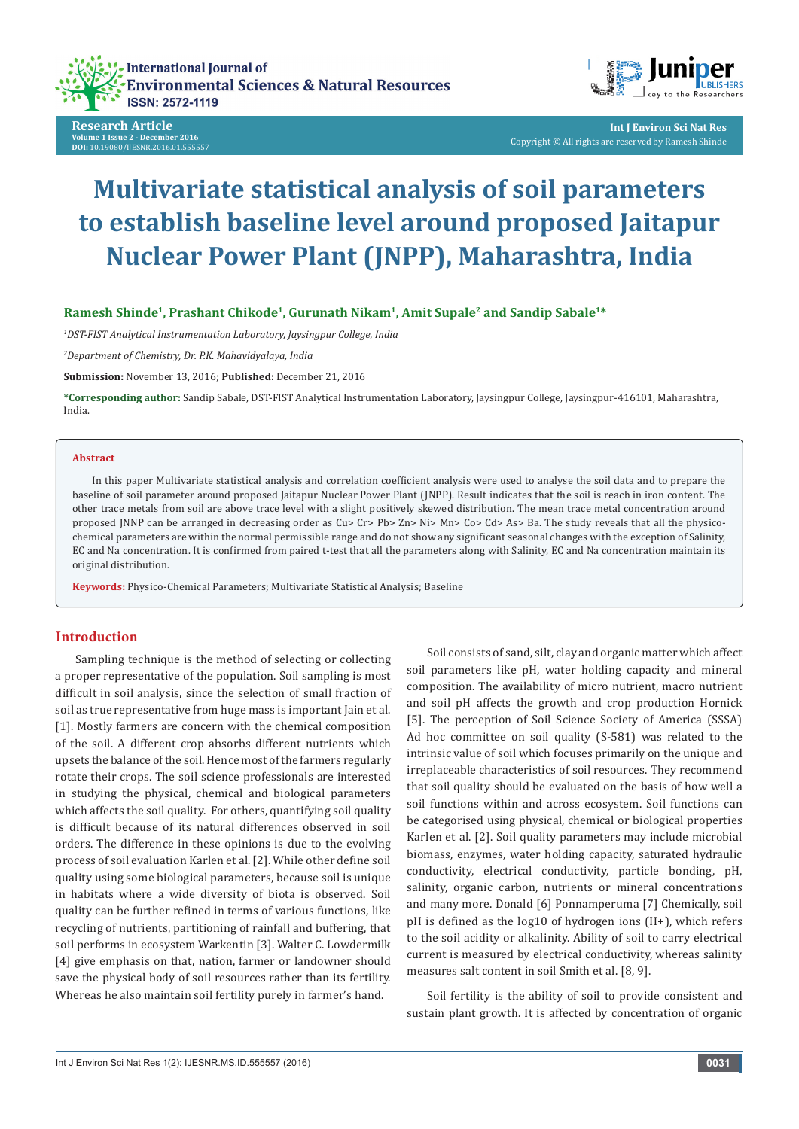

**Research Article Volume 1 Issue 2 - December 2016 DOI:** [10.19080/IJESNR.2016.01.555557](http://dx.doi.org/10.19080/IJESNR.2016.01.555557
)



**Int J Environ Sci Nat Res** Copyright © All rights are reserved by Ramesh Shinde

# **Multivariate statistical analysis of soil parameters to establish baseline level around proposed Jaitapur Nuclear Power Plant (JNPP), Maharashtra, India**

**Ramesh Shinde1, Prashant Chikode1, Gurunath Nikam1, Amit Supale2 and Sandip Sabale1\***

*1 DST-FIST Analytical Instrumentation Laboratory, Jaysingpur College, India*

*2 Department of Chemistry, Dr. P.K. Mahavidyalaya, India*

**Submission:** November 13, 2016; **Published:** December 21, 2016

**\*Corresponding author:** Sandip Sabale, DST-FIST Analytical Instrumentation Laboratory, Jaysingpur College, Jaysingpur-416101, Maharashtra, India.

#### **Abstract**

In this paper Multivariate statistical analysis and correlation coefficient analysis were used to analyse the soil data and to prepare the baseline of soil parameter around proposed Jaitapur Nuclear Power Plant (JNPP). Result indicates that the soil is reach in iron content. The other trace metals from soil are above trace level with a slight positively skewed distribution. The mean trace metal concentration around proposed JNNP can be arranged in decreasing order as Cu> Cr> Pb> Zn> Ni> Mn> Co> Cd> As> Ba. The study reveals that all the physicochemical parameters are within the normal permissible range and do not show any significant seasonal changes with the exception of Salinity, EC and Na concentration. It is confirmed from paired t-test that all the parameters along with Salinity, EC and Na concentration maintain its original distribution.

**Keywords:** Physico-Chemical Parameters; Multivariate Statistical Analysis; Baseline

## **Introduction**

Sampling technique is the method of selecting or collecting a proper representative of the population. Soil sampling is most difficult in soil analysis, since the selection of small fraction of soil as true representative from huge mass is important Jain et al. [1]. Mostly farmers are concern with the chemical composition of the soil. A different crop absorbs different nutrients which upsets the balance of the soil. Hence most of the farmers regularly rotate their crops. The soil science professionals are interested in studying the physical, chemical and biological parameters which affects the soil quality. For others, quantifying soil quality is difficult because of its natural differences observed in soil orders. The difference in these opinions is due to the evolving process of soil evaluation Karlen et al. [2]. While other define soil quality using some biological parameters, because soil is unique in habitats where a wide diversity of biota is observed. Soil quality can be further refined in terms of various functions, like recycling of nutrients, partitioning of rainfall and buffering, that soil performs in ecosystem Warkentin [3]. Walter C. Lowdermilk [4] give emphasis on that, nation, farmer or landowner should save the physical body of soil resources rather than its fertility. Whereas he also maintain soil fertility purely in farmer's hand.

Soil consists of sand, silt, clay and organic matter which affect soil parameters like pH, water holding capacity and mineral composition. The availability of micro nutrient, macro nutrient and soil pH affects the growth and crop production Hornick [5]. The perception of Soil Science Society of America (SSSA) Ad hoc committee on soil quality (S-581) was related to the intrinsic value of soil which focuses primarily on the unique and irreplaceable characteristics of soil resources. They recommend that soil quality should be evaluated on the basis of how well a soil functions within and across ecosystem. Soil functions can be categorised using physical, chemical or biological properties Karlen et al. [2]. Soil quality parameters may include microbial biomass, enzymes, water holding capacity, saturated hydraulic conductivity, electrical conductivity, particle bonding, pH, salinity, organic carbon, nutrients or mineral concentrations and many more. Donald [6] Ponnamperuma [7] Chemically, soil pH is defined as the log10 of hydrogen ions (H+), which refers to the soil acidity or alkalinity. Ability of soil to carry electrical current is measured by electrical conductivity, whereas salinity measures salt content in soil Smith et al. [8, 9].

Soil fertility is the ability of soil to provide consistent and sustain plant growth. It is affected by concentration of organic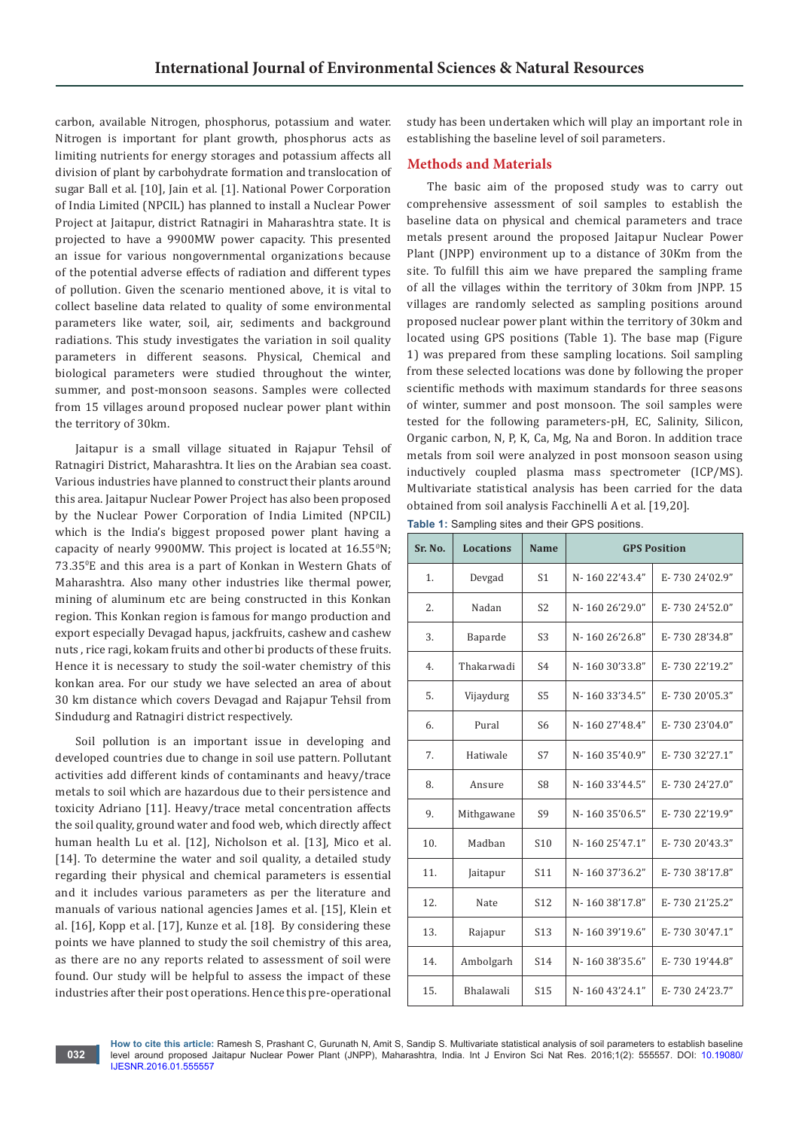carbon, available Nitrogen, phosphorus, potassium and water. Nitrogen is important for plant growth, phosphorus acts as limiting nutrients for energy storages and potassium affects all division of plant by carbohydrate formation and translocation of sugar Ball et al. [10], Jain et al. [1]. National Power Corporation of India Limited (NPCIL) has planned to install a Nuclear Power Project at Jaitapur, district Ratnagiri in Maharashtra state. It is projected to have a 9900MW power capacity. This presented an issue for various nongovernmental organizations because of the potential adverse effects of radiation and different types of pollution. Given the scenario mentioned above, it is vital to collect baseline data related to quality of some environmental parameters like water, soil, air, sediments and background radiations. This study investigates the variation in soil quality parameters in different seasons. Physical, Chemical and biological parameters were studied throughout the winter, summer, and post-monsoon seasons. Samples were collected from 15 villages around proposed nuclear power plant within the territory of 30km.

Jaitapur is a small village situated in Rajapur Tehsil of Ratnagiri District, Maharashtra. It lies on the Arabian sea coast. Various industries have planned to construct their plants around this area. Jaitapur Nuclear Power Project has also been proposed by the Nuclear Power Corporation of India Limited (NPCIL) which is the India's biggest proposed power plant having a capacity of nearly 9900MW. This project is located at 16.55°N; 73.35<sup>0</sup> E and this area is a part of Konkan in Western Ghats of Maharashtra. Also many other industries like thermal power, mining of aluminum etc are being constructed in this Konkan region. This Konkan region is famous for mango production and export especially Devagad hapus, jackfruits, cashew and cashew nuts , rice ragi, kokam fruits and other bi products of these fruits. Hence it is necessary to study the soil-water chemistry of this konkan area. For our study we have selected an area of about 30 km distance which covers Devagad and Rajapur Tehsil from Sindudurg and Ratnagiri district respectively.

Soil pollution is an important issue in developing and developed countries due to change in soil use pattern. Pollutant activities add different kinds of contaminants and heavy/trace metals to soil which are hazardous due to their persistence and toxicity Adriano [11]. Heavy/trace metal concentration affects the soil quality, ground water and food web, which directly affect human health Lu et al. [12], Nicholson et al. [13], Mico et al. [14]. To determine the water and soil quality, a detailed study regarding their physical and chemical parameters is essential and it includes various parameters as per the literature and manuals of various national agencies James et al. [15], Klein et al. [16], Kopp et al. [17], Kunze et al. [18]. By considering these points we have planned to study the soil chemistry of this area, as there are no any reports related to assessment of soil were found. Our study will be helpful to assess the impact of these industries after their post operations. Hence this pre-operational

**032**

study has been undertaken which will play an important role in establishing the baseline level of soil parameters.

# **Methods and Materials**

The basic aim of the proposed study was to carry out comprehensive assessment of soil samples to establish the baseline data on physical and chemical parameters and trace metals present around the proposed Jaitapur Nuclear Power Plant (JNPP) environment up to a distance of 30Km from the site. To fulfill this aim we have prepared the sampling frame of all the villages within the territory of 30km from JNPP. 15 villages are randomly selected as sampling positions around proposed nuclear power plant within the territory of 30km and located using GPS positions (Table 1). The base map (Figure 1) was prepared from these sampling locations. Soil sampling from these selected locations was done by following the proper scientific methods with maximum standards for three seasons of winter, summer and post monsoon. The soil samples were tested for the following parameters-pH, EC, Salinity, Silicon, Organic carbon, N, P, K, Ca, Mg, Na and Boron. In addition trace metals from soil were analyzed in post monsoon season using inductively coupled plasma mass spectrometer (ICP/MS). Multivariate statistical analysis has been carried for the data obtained from soil analysis Facchinelli A et al. [19,20].

**Table 1:** Sampling sites and their GPS positions.

| Sr. No. | <b>Locations</b> | <b>Name</b>     |                | <b>GPS Position</b> |
|---------|------------------|-----------------|----------------|---------------------|
| 1.      | Devgad           | S <sub>1</sub>  | N-160 22'43.4" | E-730 24'02.9"      |
| 2.      | Nadan            | S <sub>2</sub>  | N-160 26'29.0" | E-730 24'52.0"      |
| 3.      | Baparde          | S <sub>3</sub>  | N-160 26'26.8" | E-730 28'34.8"      |
| 4.      | Thakarwadi       | S <sub>4</sub>  | N-16030'33.8"  | E-730 22'19.2"      |
| 5.      | Vijaydurg        | S <sub>5</sub>  | N-16033'34.5"  | E-730 20'05.3"      |
| 6.      | Pural            | S <sub>6</sub>  | N-160 27'48.4" | E-730 23'04.0"      |
| 7.      | Hatiwale         | S7              | N-16035'40.9"  | E-730 32'27.1"      |
| 8.      | Ansure           | S <sub>8</sub>  | N-16033'44.5"  | E-730 24'27.0"      |
| 9.      | Mithgawane       | S <sub>9</sub>  | N-16035'06.5"  | E-730 22'19.9"      |
| 10.     | Madban           | S10             | N-160 25'47.1" | E-730 20'43.3"      |
| 11.     | Jaitapur         | S <sub>11</sub> | N-16037'36.2"  | E-730 38'17.8"      |
| 12.     | Nate             | S <sub>12</sub> | N-16038'17.8"  | E-730 21'25.2"      |
| 13.     | Rajapur          | S <sub>13</sub> | N-16039'19.6"  | E-730 30'47.1"      |
| 14.     | Ambolgarh        | S <sub>14</sub> | N-16038'35.6"  | E-730 19'44.8"      |
| 15.     | Bhalawali        | S <sub>15</sub> | N-16043'24.1"  | E-730 24'23.7"      |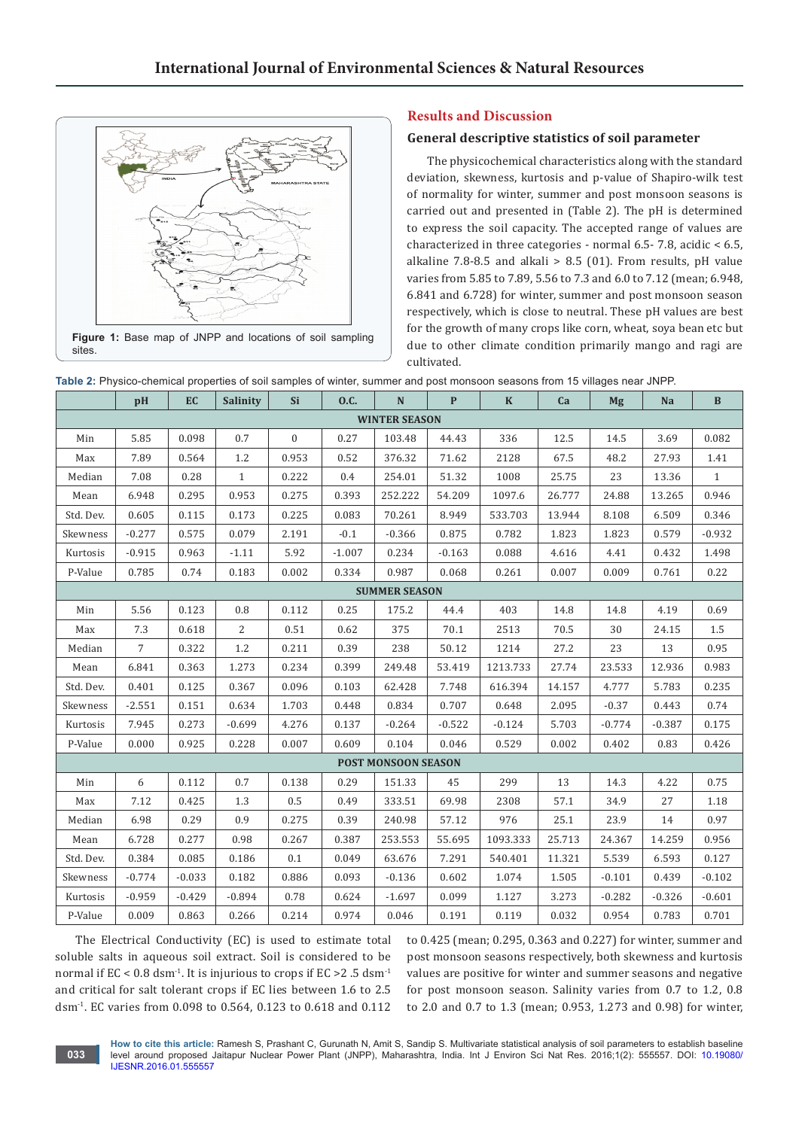

**Figure 1:** Base map of JNPP and locations of soil sampling sites.

# **Results and Discussion**

## **General descriptive statistics of soil parameter**

The physicochemical characteristics along with the standard deviation, skewness, kurtosis and p-value of Shapiro-wilk test of normality for winter, summer and post monsoon seasons is carried out and presented in (Table 2). The pH is determined to express the soil capacity. The accepted range of values are characterized in three categories - normal 6.5- 7.8, acidic < 6.5, alkaline 7.8-8.5 and alkali  $> 8.5$  (01). From results, pH value varies from 5.85 to 7.89, 5.56 to 7.3 and 6.0 to 7.12 (mean; 6.948, 6.841 and 6.728) for winter, summer and post monsoon season respectively, which is close to neutral. These pH values are best for the growth of many crops like corn, wheat, soya bean etc but due to other climate condition primarily mango and ragi are cultivated.

|           | pH              | EC       | Salinity     | Si             | 0.C.     | ${\bf N}$                  | $\mathbf{P}$ | $\bf K$  | Ca     | <b>Mg</b> | Na       | $\, {\bf B}$ |
|-----------|-----------------|----------|--------------|----------------|----------|----------------------------|--------------|----------|--------|-----------|----------|--------------|
|           |                 |          |              |                |          | <b>WINTER SEASON</b>       |              |          |        |           |          |              |
| Min       | 5.85            | 0.098    | 0.7          | $\overline{0}$ | 0.27     | 103.48                     | 44.43        | 336      | 12.5   | 14.5      | 3.69     | 0.082        |
| Max       | 7.89            | 0.564    | 1.2          | 0.953          | 0.52     | 376.32                     | 71.62        | 2128     | 67.5   | 48.2      | 27.93    | 1.41         |
| Median    | 7.08            | 0.28     | $\mathbf{1}$ | 0.222          | 0.4      | 254.01                     | 51.32        | 1008     | 25.75  | 23        | 13.36    | $\mathbf{1}$ |
| Mean      | 6.948           | 0.295    | 0.953        | 0.275          | 0.393    | 252.222                    | 54.209       | 1097.6   | 26.777 | 24.88     | 13.265   | 0.946        |
| Std. Dev. | 0.605           | 0.115    | 0.173        | 0.225          | 0.083    | 70.261                     | 8.949        | 533.703  | 13.944 | 8.108     | 6.509    | 0.346        |
| Skewness  | $-0.277$        | 0.575    | 0.079        | 2.191          | $-0.1$   | $-0.366$                   | 0.875        | 0.782    | 1.823  | 1.823     | 0.579    | $-0.932$     |
| Kurtosis  | $-0.915$        | 0.963    | $-1.11$      | 5.92           | $-1.007$ | 0.234                      | $-0.163$     | 0.088    | 4.616  | 4.41      | 0.432    | 1.498        |
| P-Value   | 0.785           | 0.74     | 0.183        | 0.002          | 0.334    | 0.987                      | 0.068        | 0.261    | 0.007  | 0.009     | 0.761    | 0.22         |
|           |                 |          |              |                |          | <b>SUMMER SEASON</b>       |              |          |        |           |          |              |
| Min       | 5.56            | 0.123    | 0.8          | 0.112          | 0.25     | 175.2                      | 44.4         | 403      | 14.8   | 14.8      | 4.19     | 0.69         |
| Max       | 7.3             | 0.618    | 2            | 0.51           | 0.62     | 375                        | 70.1         | 2513     | 70.5   | 30        | 24.15    | 1.5          |
| Median    | $7\overline{ }$ | 0.322    | 1.2          | 0.211          | 0.39     | 238                        | 50.12        | 1214     | 27.2   | 23        | 13       | 0.95         |
| Mean      | 6.841           | 0.363    | 1.273        | 0.234          | 0.399    | 249.48                     | 53.419       | 1213.733 | 27.74  | 23.533    | 12.936   | 0.983        |
| Std. Dev. | 0.401           | 0.125    | 0.367        | 0.096          | 0.103    | 62.428                     | 7.748        | 616.394  | 14.157 | 4.777     | 5.783    | 0.235        |
| Skewness  | $-2.551$        | 0.151    | 0.634        | 1.703          | 0.448    | 0.834                      | 0.707        | 0.648    | 2.095  | $-0.37$   | 0.443    | 0.74         |
| Kurtosis  | 7.945           | 0.273    | $-0.699$     | 4.276          | 0.137    | $-0.264$                   | $-0.522$     | $-0.124$ | 5.703  | $-0.774$  | $-0.387$ | 0.175        |
| P-Value   | 0.000           | 0.925    | 0.228        | 0.007          | 0.609    | 0.104                      | 0.046        | 0.529    | 0.002  | 0.402     | 0.83     | 0.426        |
|           |                 |          |              |                |          | <b>POST MONSOON SEASON</b> |              |          |        |           |          |              |
| Min       | 6               | 0.112    | $0.7\,$      | 0.138          | 0.29     | 151.33                     | 45           | 299      | 13     | 14.3      | 4.22     | 0.75         |
| Max       | 7.12            | 0.425    | 1.3          | $0.5\,$        | 0.49     | 333.51                     | 69.98        | 2308     | 57.1   | 34.9      | 27       | 1.18         |
| Median    | 6.98            | 0.29     | 0.9          | 0.275          | 0.39     | 240.98                     | 57.12        | 976      | 25.1   | 23.9      | 14       | 0.97         |
| Mean      | 6.728           | 0.277    | 0.98         | 0.267          | 0.387    | 253.553                    | 55.695       | 1093.333 | 25.713 | 24.367    | 14.259   | 0.956        |
| Std. Dev. | 0.384           | 0.085    | 0.186        | 0.1            | 0.049    | 63.676                     | 7.291        | 540.401  | 11.321 | 5.539     | 6.593    | 0.127        |
| Skewness  | $-0.774$        | $-0.033$ | 0.182        | 0.886          | 0.093    | $-0.136$                   | 0.602        | 1.074    | 1.505  | $-0.101$  | 0.439    | $-0.102$     |
| Kurtosis  | $-0.959$        | $-0.429$ | $-0.894$     | 0.78           | 0.624    | $-1.697$                   | 0.099        | 1.127    | 3.273  | $-0.282$  | $-0.326$ | $-0.601$     |
| P-Value   | 0.009           | 0.863    | 0.266        | 0.214          | 0.974    | 0.046                      | 0.191        | 0.119    | 0.032  | 0.954     | 0.783    | 0.701        |

**Table 2:** Physico-chemical properties of soil samples of winter, summer and post monsoon seasons from 15 villages near JNPP.

The Electrical Conductivity (EC) is used to estimate total soluble salts in aqueous soil extract. Soil is considered to be normal if  $EC < 0.8$  dsm<sup>-1</sup>. It is injurious to crops if  $EC > 2.5$  dsm<sup>-1</sup> and critical for salt tolerant crops if EC lies between 1.6 to 2.5 dsm-1. EC varies from 0.098 to 0.564, 0.123 to 0.618 and 0.112

**033**

to 0.425 (mean; 0.295, 0.363 and 0.227) for winter, summer and post monsoon seasons respectively, both skewness and kurtosis values are positive for winter and summer seasons and negative for post monsoon season. Salinity varies from 0.7 to 1.2, 0.8 to 2.0 and 0.7 to 1.3 (mean; 0.953, 1.273 and 0.98) for winter,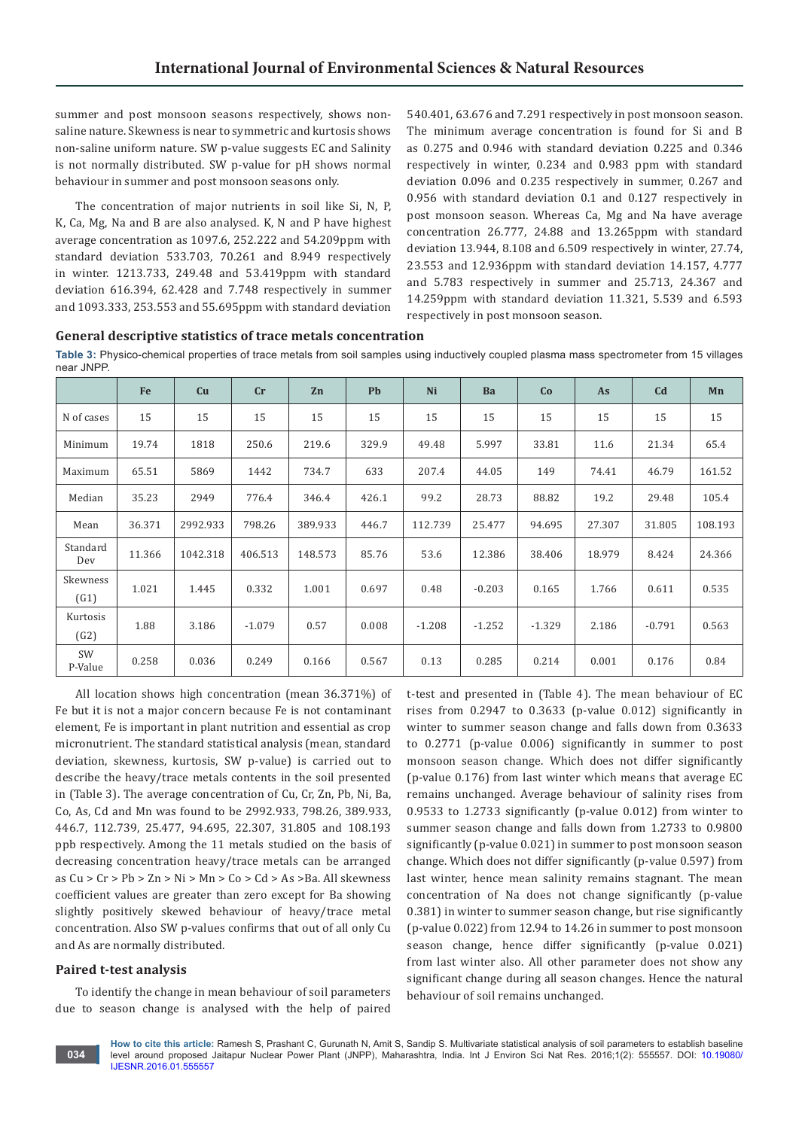summer and post monsoon seasons respectively, shows nonsaline nature. Skewness is near to symmetric and kurtosis shows non-saline uniform nature. SW p-value suggests EC and Salinity is not normally distributed. SW p-value for pH shows normal behaviour in summer and post monsoon seasons only.

The concentration of major nutrients in soil like Si, N, P, K, Ca, Mg, Na and B are also analysed. K, N and P have highest average concentration as 1097.6, 252.222 and 54.209ppm with standard deviation 533.703, 70.261 and 8.949 respectively in winter. 1213.733, 249.48 and 53.419ppm with standard deviation 616.394, 62.428 and 7.748 respectively in summer and 1093.333, 253.553 and 55.695ppm with standard deviation 540.401, 63.676 and 7.291 respectively in post monsoon season. The minimum average concentration is found for Si and B as 0.275 and 0.946 with standard deviation 0.225 and 0.346 respectively in winter, 0.234 and 0.983 ppm with standard deviation 0.096 and 0.235 respectively in summer, 0.267 and 0.956 with standard deviation 0.1 and 0.127 respectively in post monsoon season. Whereas Ca, Mg and Na have average concentration 26.777, 24.88 and 13.265ppm with standard deviation 13.944, 8.108 and 6.509 respectively in winter, 27.74, 23.553 and 12.936ppm with standard deviation 14.157, 4.777 and 5.783 respectively in summer and 25.713, 24.367 and 14.259ppm with standard deviation 11.321, 5.539 and 6.593 respectively in post monsoon season.

**General descriptive statistics of trace metals concentration**

**Table 3:** Physico-chemical properties of trace metals from soil samples using inductively coupled plasma mass spectrometer from 15 villages near JNPP.

|                  | Fe     | Cu       | cr       | Zn      | <b>Pb</b> | Ni       | Ba       | Co       | As     | C <sub>d</sub> | Mn      |
|------------------|--------|----------|----------|---------|-----------|----------|----------|----------|--------|----------------|---------|
| N of cases       | 15     | 15       | 15       | 15      | 15        | 15       | 15       | 15       | 15     | 15             | 15      |
| Minimum          | 19.74  | 1818     | 250.6    | 219.6   | 329.9     | 49.48    | 5.997    | 33.81    | 11.6   | 21.34          | 65.4    |
| Maximum          | 65.51  | 5869     | 1442     | 734.7   | 633       | 207.4    | 44.05    | 149      | 74.41  | 46.79          | 161.52  |
| Median           | 35.23  | 2949     | 776.4    | 346.4   | 426.1     | 99.2     | 28.73    | 88.82    | 19.2   | 29.48          | 105.4   |
| Mean             | 36.371 | 2992.933 | 798.26   | 389.933 | 446.7     | 112.739  | 25.477   | 94.695   | 27.307 | 31.805         | 108.193 |
| Standard<br>Dev  | 11.366 | 1042.318 | 406.513  | 148.573 | 85.76     | 53.6     | 12.386   | 38.406   | 18.979 | 8.424          | 24.366  |
| Skewness<br>(G1) | 1.021  | 1.445    | 0.332    | 1.001   | 0.697     | 0.48     | $-0.203$ | 0.165    | 1.766  | 0.611          | 0.535   |
| Kurtosis<br>(G2) | 1.88   | 3.186    | $-1.079$ | 0.57    | 0.008     | $-1.208$ | $-1.252$ | $-1.329$ | 2.186  | $-0.791$       | 0.563   |
| SW<br>P-Value    | 0.258  | 0.036    | 0.249    | 0.166   | 0.567     | 0.13     | 0.285    | 0.214    | 0.001  | 0.176          | 0.84    |

All location shows high concentration (mean 36.371%) of Fe but it is not a major concern because Fe is not contaminant element, Fe is important in plant nutrition and essential as crop micronutrient. The standard statistical analysis (mean, standard deviation, skewness, kurtosis, SW p-value) is carried out to describe the heavy/trace metals contents in the soil presented in (Table 3). The average concentration of Cu, Cr, Zn, Pb, Ni, Ba, Co, As, Cd and Mn was found to be 2992.933, 798.26, 389.933, 446.7, 112.739, 25.477, 94.695, 22.307, 31.805 and 108.193 ppb respectively. Among the 11 metals studied on the basis of decreasing concentration heavy/trace metals can be arranged as Cu > Cr > Pb > Zn > Ni > Mn > Co > Cd > As >Ba. All skewness coefficient values are greater than zero except for Ba showing slightly positively skewed behaviour of heavy/trace metal concentration. Also SW p-values confirms that out of all only Cu and As are normally distributed.

#### **Paired t-test analysis**

To identify the change in mean behaviour of soil parameters due to season change is analysed with the help of paired t-test and presented in (Table 4). The mean behaviour of EC rises from 0.2947 to 0.3633 (p-value 0.012) significantly in winter to summer season change and falls down from 0.3633 to 0.2771 (p-value 0.006) significantly in summer to post monsoon season change. Which does not differ significantly (p-value 0.176) from last winter which means that average EC remains unchanged. Average behaviour of salinity rises from 0.9533 to 1.2733 significantly (p-value 0.012) from winter to summer season change and falls down from 1.2733 to 0.9800 significantly (p-value 0.021) in summer to post monsoon season change. Which does not differ significantly (p-value 0.597) from last winter, hence mean salinity remains stagnant. The mean concentration of Na does not change significantly (p-value 0.381) in winter to summer season change, but rise significantly (p-value 0.022) from 12.94 to 14.26 in summer to post monsoon season change, hence differ significantly (p-value 0.021) from last winter also. All other parameter does not show any significant change during all season changes. Hence the natural behaviour of soil remains unchanged.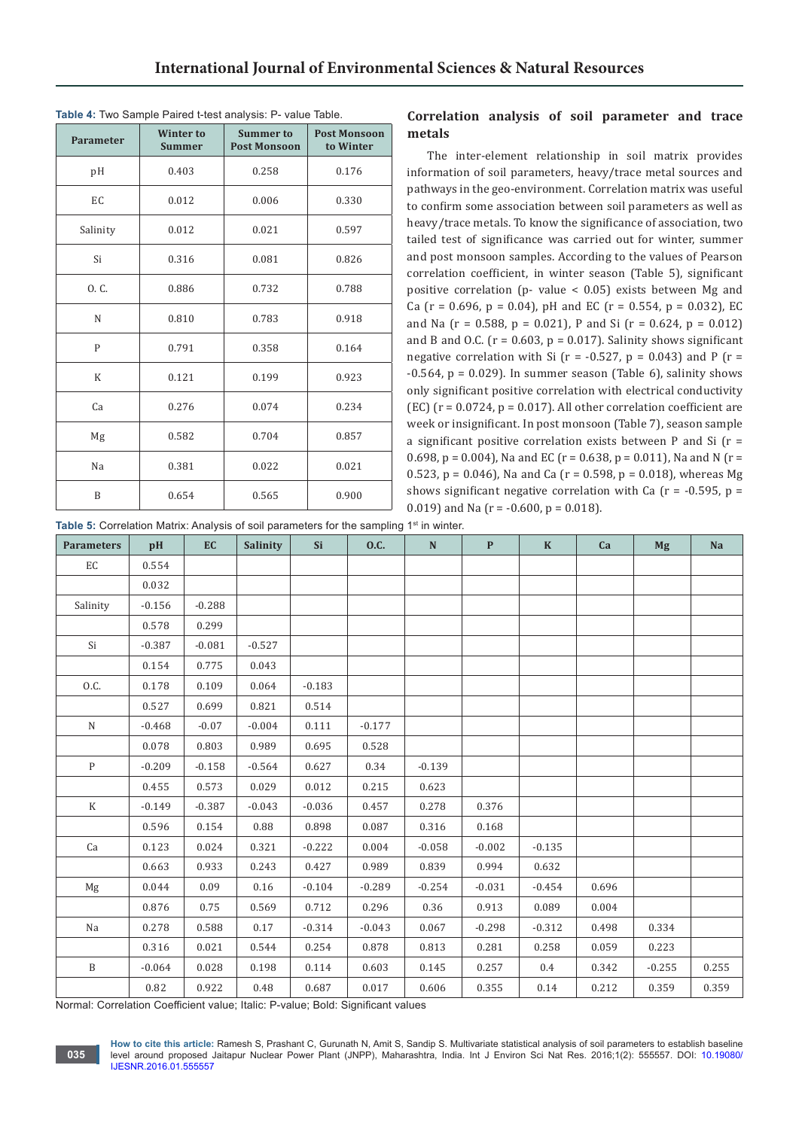| <b>Parameter</b> | <b>Winter to</b><br><b>Summer</b> | <b>Summer to</b><br><b>Post Monsoon</b> | <b>Post Monsoon</b><br>to Winter |
|------------------|-----------------------------------|-----------------------------------------|----------------------------------|
| pH               | 0.403                             | 0.258                                   | 0.176                            |
| EC               | 0.012                             | 0.006                                   | 0.330                            |
| Salinity         | 0.012                             | 0.021                                   | 0.597                            |
| Si               | 0.316                             | 0.081                                   | 0.826                            |
| O. C.            | 0.886                             | 0.732                                   | 0.788                            |
| N                | 0.810                             | 0.783                                   | 0.918                            |
| $\mathsf{P}$     | 0.791                             | 0.358                                   | 0.164                            |
| K                | 0.121                             | 0.199                                   | 0.923                            |
| Ca               | 0.276                             | 0.074                                   | 0.234                            |
| Mg               | 0.582                             | 0.704                                   | 0.857                            |
| Na               | 0.381                             | 0.022                                   | 0.021                            |
| B                | 0.654                             | 0.565                                   | 0.900                            |

**Table 4:** Two Sample Paired t-test analysis: P- value Table.

| Correlation analysis of soil parameter and trace |  |  |  |
|--------------------------------------------------|--|--|--|
| metals                                           |  |  |  |

The inter-element relationship in soil matrix provides information of soil parameters, heavy/trace metal sources and pathways in the geo-environment. Correlation matrix was useful to confirm some association between soil parameters as well as heavy/trace metals. To know the significance of association, two tailed test of significance was carried out for winter, summer and post monsoon samples. According to the values of Pearson correlation coefficient, in winter season (Table 5), significant positive correlation (p- value  $\leq$  0.05) exists between Mg and Ca ( $r = 0.696$ ,  $p = 0.04$ ), pH and EC ( $r = 0.554$ ,  $p = 0.032$ ), EC and Na (r = 0.588, p = 0.021), P and Si (r = 0.624, p = 0.012) and B and O.C. ( $r = 0.603$ ,  $p = 0.017$ ). Salinity shows significant negative correlation with Si ( $r = -0.527$ ,  $p = 0.043$ ) and P ( $r =$  $-0.564$ ,  $p = 0.029$ ). In summer season (Table 6), salinity shows only significant positive correlation with electrical conductivity (EC) ( $r = 0.0724$ ,  $p = 0.017$ ). All other correlation coefficient are week or insignificant. In post monsoon (Table 7), season sample a significant positive correlation exists between P and Si (r = 0.698, p = 0.004), Na and EC ( $r = 0.638$ , p = 0.011), Na and N ( $r =$ 0.523, p = 0.046), Na and Ca ( $r = 0.598$ , p = 0.018), whereas Mg shows significant negative correlation with Ca ( $r = -0.595$ ,  $p =$ 0.019) and Na ( $r = -0.600$ ,  $p = 0.018$ ).

Table 5: Correlation Matrix: Analysis of soil parameters for the sampling 1<sup>st</sup> in winter.

| <b>Parameters</b> | pH       | <b>EC</b> | Salinity | <b>Si</b> | 0.C.     | N        | $\mathbf{P}$ | $\mathbf K$ | Ca    | <b>Mg</b> | Na    |
|-------------------|----------|-----------|----------|-----------|----------|----------|--------------|-------------|-------|-----------|-------|
| EC                | 0.554    |           |          |           |          |          |              |             |       |           |       |
|                   | 0.032    |           |          |           |          |          |              |             |       |           |       |
| Salinity          | $-0.156$ | $-0.288$  |          |           |          |          |              |             |       |           |       |
|                   | 0.578    | 0.299     |          |           |          |          |              |             |       |           |       |
| Si                | $-0.387$ | $-0.081$  | $-0.527$ |           |          |          |              |             |       |           |       |
|                   | 0.154    | 0.775     | 0.043    |           |          |          |              |             |       |           |       |
| 0.C.              | 0.178    | 0.109     | 0.064    | $-0.183$  |          |          |              |             |       |           |       |
|                   | 0.527    | 0.699     | 0.821    | 0.514     |          |          |              |             |       |           |       |
| $\mathbf N$       | $-0.468$ | $-0.07$   | $-0.004$ | 0.111     | $-0.177$ |          |              |             |       |           |       |
|                   | 0.078    | 0.803     | 0.989    | 0.695     | 0.528    |          |              |             |       |           |       |
| P                 | $-0.209$ | $-0.158$  | $-0.564$ | 0.627     | 0.34     | $-0.139$ |              |             |       |           |       |
|                   | 0.455    | 0.573     | 0.029    | 0.012     | 0.215    | 0.623    |              |             |       |           |       |
| $\mathbf K$       | $-0.149$ | $-0.387$  | $-0.043$ | $-0.036$  | 0.457    | 0.278    | 0.376        |             |       |           |       |
|                   | 0.596    | 0.154     | 0.88     | 0.898     | 0.087    | 0.316    | 0.168        |             |       |           |       |
| Ca                | 0.123    | 0.024     | 0.321    | $-0.222$  | 0.004    | $-0.058$ | $-0.002$     | $-0.135$    |       |           |       |
|                   | 0.663    | 0.933     | 0.243    | 0.427     | 0.989    | 0.839    | 0.994        | 0.632       |       |           |       |
| Mg                | 0.044    | 0.09      | 0.16     | $-0.104$  | $-0.289$ | $-0.254$ | $-0.031$     | $-0.454$    | 0.696 |           |       |
|                   | 0.876    | 0.75      | 0.569    | 0.712     | 0.296    | 0.36     | 0.913        | 0.089       | 0.004 |           |       |
| Na                | 0.278    | 0.588     | 0.17     | $-0.314$  | $-0.043$ | 0.067    | $-0.298$     | $-0.312$    | 0.498 | 0.334     |       |
|                   | 0.316    | 0.021     | 0.544    | 0.254     | 0.878    | 0.813    | 0.281        | 0.258       | 0.059 | 0.223     |       |
| $\, {\bf B}$      | $-0.064$ | 0.028     | 0.198    | 0.114     | 0.603    | 0.145    | 0.257        | 0.4         | 0.342 | $-0.255$  | 0.255 |
|                   | 0.82     | 0.922     | 0.48     | 0.687     | 0.017    | 0.606    | 0.355        | 0.14        | 0.212 | 0.359     | 0.359 |

Normal: Correlation Coefficient value; Italic: P-value; Bold: Significant values

**How to cite this article:** Ramesh S, Prashant C, Gurunath N, Amit S, Sandip S. Multivariate statistical analysis of soil parameters to establish baseline level around proposed Jaitapur Nuclear Power Plant (JNPP), Maharashtra, India. Int J Environ Sci Nat Res. 2016;1(2): 555557. DOI: [10.19080/](http://dx.doi.org/10.19080/IJESNR.2016.01.555557
) [IJESNR.2016.01.555557](http://dx.doi.org/10.19080/IJESNR.2016.01.555557
)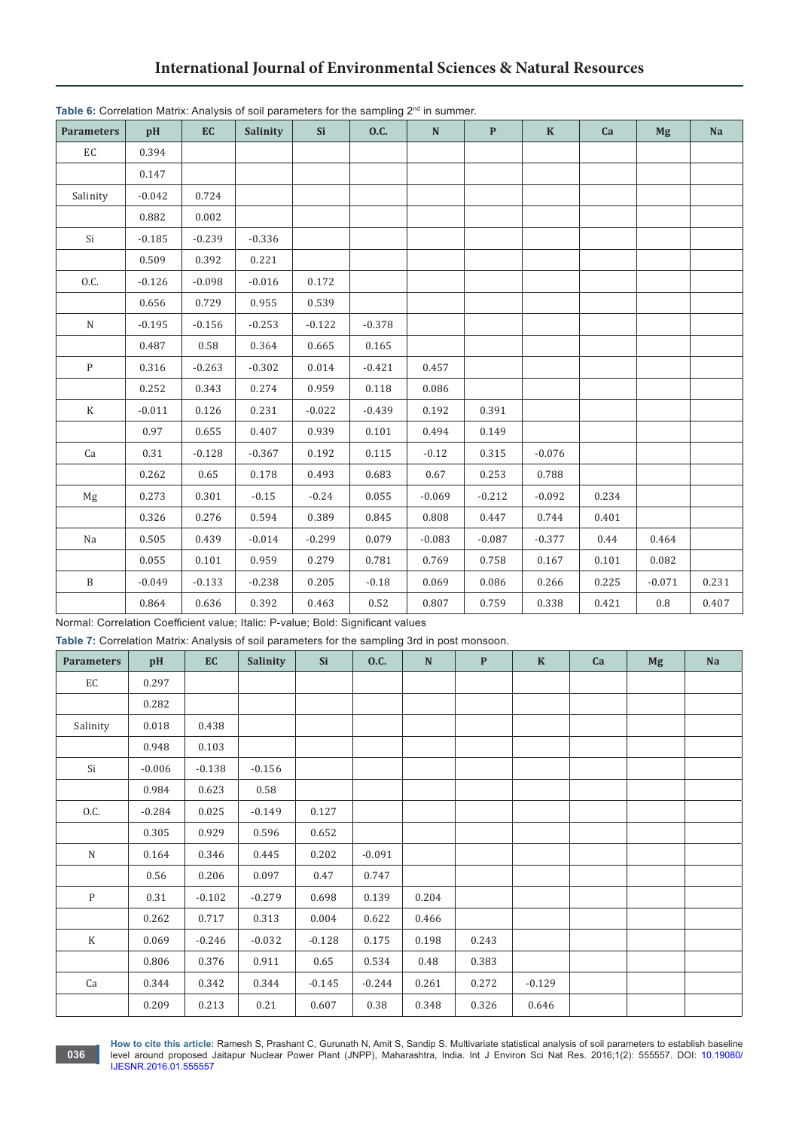| <b>Parameters</b>    | pH       | EC       | Salinity | <b>Si</b> | 0.C.     | ${\bf N}$ | $\mathbf{P}$ | $\mathbf K$ | Ca    | <b>Mg</b> | Na    |
|----------------------|----------|----------|----------|-----------|----------|-----------|--------------|-------------|-------|-----------|-------|
| $\mathop{\text{EC}}$ | 0.394    |          |          |           |          |           |              |             |       |           |       |
|                      | 0.147    |          |          |           |          |           |              |             |       |           |       |
| Salinity             | $-0.042$ | 0.724    |          |           |          |           |              |             |       |           |       |
|                      | 0.882    | 0.002    |          |           |          |           |              |             |       |           |       |
| Si                   | $-0.185$ | $-0.239$ | $-0.336$ |           |          |           |              |             |       |           |       |
|                      | 0.509    | 0.392    | 0.221    |           |          |           |              |             |       |           |       |
| 0.C.                 | $-0.126$ | $-0.098$ | $-0.016$ | 0.172     |          |           |              |             |       |           |       |
|                      | 0.656    | 0.729    | 0.955    | 0.539     |          |           |              |             |       |           |       |
| ${\bf N}$            | $-0.195$ | $-0.156$ | $-0.253$ | $-0.122$  | $-0.378$ |           |              |             |       |           |       |
|                      | 0.487    | 0.58     | 0.364    | 0.665     | 0.165    |           |              |             |       |           |       |
| $\mathbf{P}$         | 0.316    | $-0.263$ | $-0.302$ | 0.014     | $-0.421$ | 0.457     |              |             |       |           |       |
|                      | 0.252    | 0.343    | 0.274    | 0.959     | 0.118    | 0.086     |              |             |       |           |       |
| $\rm K$              | $-0.011$ | 0.126    | 0.231    | $-0.022$  | $-0.439$ | 0.192     | 0.391        |             |       |           |       |
|                      | 0.97     | 0.655    | 0.407    | 0.939     | 0.101    | 0.494     | 0.149        |             |       |           |       |
| Ca                   | 0.31     | $-0.128$ | $-0.367$ | 0.192     | 0.115    | $-0.12$   | 0.315        | $-0.076$    |       |           |       |
|                      | 0.262    | 0.65     | 0.178    | 0.493     | 0.683    | 0.67      | 0.253        | 0.788       |       |           |       |
| Mg                   | 0.273    | 0.301    | $-0.15$  | $-0.24$   | 0.055    | $-0.069$  | $-0.212$     | $-0.092$    | 0.234 |           |       |
|                      | 0.326    | 0.276    | 0.594    | 0.389     | 0.845    | 0.808     | 0.447        | 0.744       | 0.401 |           |       |
| Na                   | 0.505    | 0.439    | $-0.014$ | $-0.299$  | 0.079    | $-0.083$  | $-0.087$     | $-0.377$    | 0.44  | 0.464     |       |
|                      | 0.055    | 0.101    | 0.959    | 0.279     | 0.781    | 0.769     | 0.758        | 0.167       | 0.101 | 0.082     |       |
| $\, {\bf B}$         | $-0.049$ | $-0.133$ | $-0.238$ | 0.205     | $-0.18$  | 0.069     | 0.086        | 0.266       | 0.225 | $-0.071$  | 0.231 |
|                      | 0.864    | 0.636    | 0.392    | 0.463     | 0.52     | 0.807     | 0.759        | 0.338       | 0.421 | 0.8       | 0.407 |

Normal: Correlation Coefficient value; Italic: P-value; Bold: Significant values

**Table 7:** Correlation Matrix: Analysis of soil parameters for the sampling 3rd in post monsoon.

| <b>Parameters</b> | pH       | EC       | <b>Salinity</b> | Si       | <b>O.C.</b> | $\mathbf N$ | $\mathbf{P}$ | $\mathbf K$ | Ca | <b>Mg</b> | <b>Na</b> |
|-------------------|----------|----------|-----------------|----------|-------------|-------------|--------------|-------------|----|-----------|-----------|
| EC                | 0.297    |          |                 |          |             |             |              |             |    |           |           |
|                   | 0.282    |          |                 |          |             |             |              |             |    |           |           |
| Salinity          | 0.018    | 0.438    |                 |          |             |             |              |             |    |           |           |
|                   | 0.948    | 0.103    |                 |          |             |             |              |             |    |           |           |
| Si                | $-0.006$ | $-0.138$ | $-0.156$        |          |             |             |              |             |    |           |           |
|                   | 0.984    | 0.623    | 0.58            |          |             |             |              |             |    |           |           |
| 0.C.              | $-0.284$ | 0.025    | $-0.149$        | 0.127    |             |             |              |             |    |           |           |
|                   | 0.305    | 0.929    | 0.596           | 0.652    |             |             |              |             |    |           |           |
| $\mathbf N$       | 0.164    | 0.346    | 0.445           | 0.202    | $-0.091$    |             |              |             |    |           |           |
|                   | 0.56     | 0.206    | 0.097           | 0.47     | 0.747       |             |              |             |    |           |           |
| $\mathbf{P}$      | 0.31     | $-0.102$ | $-0.279$        | 0.698    | 0.139       | 0.204       |              |             |    |           |           |
|                   | 0.262    | 0.717    | 0.313           | 0.004    | 0.622       | 0.466       |              |             |    |           |           |
| $\rm K$           | 0.069    | $-0.246$ | $-0.032$        | $-0.128$ | 0.175       | 0.198       | 0.243        |             |    |           |           |
|                   | 0.806    | 0.376    | 0.911           | 0.65     | 0.534       | 0.48        | 0.383        |             |    |           |           |
| Ca                | 0.344    | 0.342    | 0.344           | $-0.145$ | $-0.244$    | 0.261       | 0.272        | $-0.129$    |    |           |           |
|                   | 0.209    | 0.213    | 0.21            | 0.607    | 0.38        | 0.348       | 0.326        | 0.646       |    |           |           |

**How to cite this article:** Ramesh S, Prashant C, Gurunath N, Amit S, Sandip S. Multivariate statistical analysis of soil parameters to establish baseline level around proposed Jaitapur Nuclear Power Plant (JNPP), Maharashtra, India. Int J Environ Sci Nat Res. 2016;1(2): 555557. DOI: [10.19080/](http://dx.doi.org/10.19080/IJESNR.2016.01.555557
) [IJESNR.2016.01.555557](http://dx.doi.org/10.19080/IJESNR.2016.01.555557
)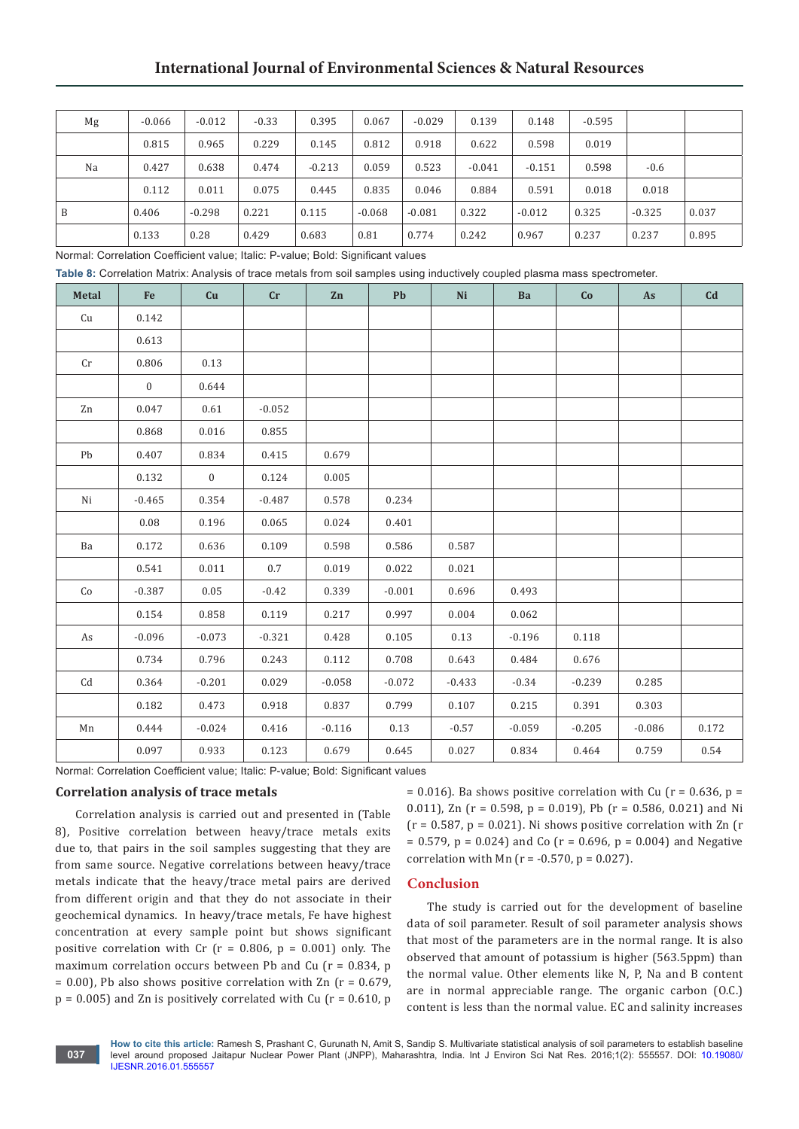| Mg | $-0.066$ | $-0.012$ | $-0.33$ | 0.395    | 0.067    | $-0.029$ | 0.139    | 0.148    | $-0.595$ |          |       |
|----|----------|----------|---------|----------|----------|----------|----------|----------|----------|----------|-------|
|    | 0.815    | 0.965    | 0.229   | 0.145    | 0.812    | 0.918    | 0.622    | 0.598    | 0.019    |          |       |
| Na | 0.427    | 0.638    | 0.474   | $-0.213$ | 0.059    | 0.523    | $-0.041$ | $-0.151$ | 0.598    | $-0.6$   |       |
|    | 0.112    | 0.011    | 0.075   | 0.445    | 0.835    | 0.046    | 0.884    | 0.591    | 0.018    | 0.018    |       |
| B  | 0.406    | $-0.298$ | 0.221   | 0.115    | $-0.068$ | $-0.081$ | 0.322    | $-0.012$ | 0.325    | $-0.325$ | 0.037 |
|    | 0.133    | 0.28     | 0.429   | 0.683    | 0.81     | 0.774    | 0.242    | 0.967    | 0.237    | 0.237    | 0.895 |

Normal: Correlation Coefficient value; Italic: P-value; Bold: Significant values

**Table 8:** Correlation Matrix: Analysis of trace metals from soil samples using inductively coupled plasma mass spectrometer.

| Metal                  | Fe             | Cu           | cr       | Zn       | Pb       | Ni       | Ba       | Co       | As       | Cd    |
|------------------------|----------------|--------------|----------|----------|----------|----------|----------|----------|----------|-------|
| Cu                     | 0.142          |              |          |          |          |          |          |          |          |       |
|                        | 0.613          |              |          |          |          |          |          |          |          |       |
| Cr                     | 0.806          | 0.13         |          |          |          |          |          |          |          |       |
|                        | $\overline{0}$ | 0.644        |          |          |          |          |          |          |          |       |
| Zn                     | 0.047          | 0.61         | $-0.052$ |          |          |          |          |          |          |       |
|                        | 0.868          | 0.016        | 0.855    |          |          |          |          |          |          |       |
| Pb                     | 0.407          | 0.834        | 0.415    | 0.679    |          |          |          |          |          |       |
|                        | 0.132          | $\mathbf{0}$ | 0.124    | 0.005    |          |          |          |          |          |       |
| Ni                     | $-0.465$       | 0.354        | $-0.487$ | 0.578    | 0.234    |          |          |          |          |       |
|                        | 0.08           | 0.196        | 0.065    | 0.024    | 0.401    |          |          |          |          |       |
| Ba                     | 0.172          | 0.636        | 0.109    | 0.598    | 0.586    | 0.587    |          |          |          |       |
|                        | 0.541          | 0.011        | $0.7\,$  | 0.019    | 0.022    | 0.021    |          |          |          |       |
| Co                     | $-0.387$       | 0.05         | $-0.42$  | 0.339    | $-0.001$ | 0.696    | 0.493    |          |          |       |
|                        | 0.154          | 0.858        | 0.119    | 0.217    | 0.997    | 0.004    | 0.062    |          |          |       |
| As                     | $-0.096$       | $-0.073$     | $-0.321$ | 0.428    | 0.105    | 0.13     | $-0.196$ | 0.118    |          |       |
|                        | 0.734          | 0.796        | 0.243    | 0.112    | 0.708    | 0.643    | 0.484    | 0.676    |          |       |
| $\mathbb{C}\mathrm{d}$ | 0.364          | $-0.201$     | 0.029    | $-0.058$ | $-0.072$ | $-0.433$ | $-0.34$  | $-0.239$ | 0.285    |       |
|                        | 0.182          | 0.473        | 0.918    | 0.837    | 0.799    | 0.107    | 0.215    | 0.391    | 0.303    |       |
| Mn                     | 0.444          | $-0.024$     | 0.416    | $-0.116$ | 0.13     | $-0.57$  | $-0.059$ | $-0.205$ | $-0.086$ | 0.172 |
|                        | 0.097          | 0.933        | 0.123    | 0.679    | 0.645    | 0.027    | 0.834    | 0.464    | 0.759    | 0.54  |

Normal: Correlation Coefficient value; Italic: P-value; Bold: Significant values

# **Correlation analysis of trace metals**

Correlation analysis is carried out and presented in (Table 8), Positive correlation between heavy/trace metals exits due to, that pairs in the soil samples suggesting that they are from same source. Negative correlations between heavy/trace metals indicate that the heavy/trace metal pairs are derived from different origin and that they do not associate in their geochemical dynamics. In heavy/trace metals, Fe have highest concentration at every sample point but shows significant positive correlation with Cr ( $r = 0.806$ ,  $p = 0.001$ ) only. The maximum correlation occurs between Pb and Cu  $(r = 0.834, p$  $= 0.00$ ), Pb also shows positive correlation with Zn ( $r = 0.679$ ,  $p = 0.005$ ) and Zn is positively correlated with Cu ( $r = 0.610$ , p

 $= 0.016$ ). Ba shows positive correlation with Cu (r = 0.636, p = 0.011), Zn ( $r = 0.598$ ,  $p = 0.019$ ), Pb ( $r = 0.586$ , 0.021) and Ni  $(r = 0.587, p = 0.021)$ . Ni shows positive correlation with Zn  $(r = 0.587, p = 0.021)$ .  $= 0.579$ ,  $p = 0.024$ ) and Co (r = 0.696, p = 0.004) and Negative correlation with Mn ( $r = -0.570$ ,  $p = 0.027$ ).

## **Conclusion**

The study is carried out for the development of baseline data of soil parameter. Result of soil parameter analysis shows that most of the parameters are in the normal range. It is also observed that amount of potassium is higher (563.5ppm) than the normal value. Other elements like N, P, Na and B content are in normal appreciable range. The organic carbon (O.C.) content is less than the normal value. EC and salinity increases